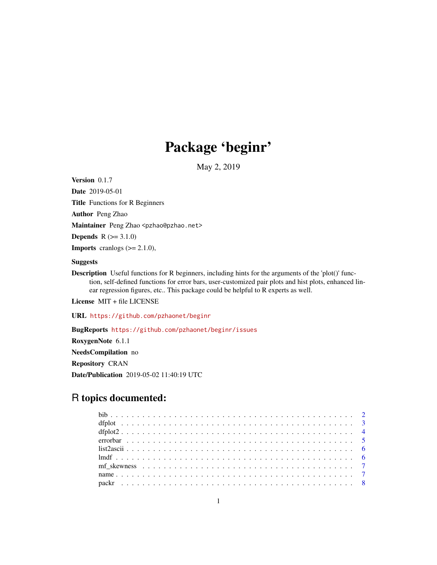# Package 'beginr'

May 2, 2019

Version 0.1.7

Date 2019-05-01 Title Functions for R Beginners Author Peng Zhao Maintainer Peng Zhao <pzhao@pzhao.net> **Depends**  $R (= 3.1.0)$ **Imports** cranlogs  $(>= 2.1.0)$ , Suggests

Description Useful functions for R beginners, including hints for the arguments of the 'plot()' function, self-defined functions for error bars, user-customized pair plots and hist plots, enhanced linear regression figures, etc.. This package could be helpful to R experts as well.

License MIT + file LICENSE

URL <https://github.com/pzhaonet/beginr>

BugReports <https://github.com/pzhaonet/beginr/issues> RoxygenNote 6.1.1 NeedsCompilation no Repository CRAN Date/Publication 2019-05-02 11:40:19 UTC

## R topics documented: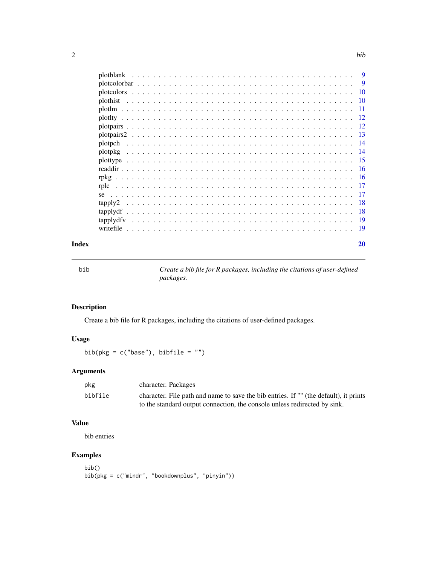<span id="page-1-0"></span>

| plotblank | -9       |
|-----------|----------|
|           | <b>9</b> |
|           | 10       |
| plothist  | 10       |
|           | 11       |
|           | -12      |
|           | -12      |
|           |          |
| plotpch   | -14      |
| plotpkg   | -14      |
| plottype  |          |
|           | -16      |
| rpkg      | -16      |
| rplc      | -17      |
| se        | -17      |
| tapply2   | -18      |
| tapplydf  | -18      |
| tapplydfy | 19       |
|           | 19       |
|           |          |

#### $\bf 1$ ndex  $\bf 20$  $\bf 20$

bib *Create a bib file for R packages, including the citations of user-defined packages.*

## Description

Create a bib file for R packages, including the citations of user-defined packages.

## Usage

bib( $pkg = c("base")$ , bibfile = "")

#### Arguments

| pkg     | character. Packages                                                                   |
|---------|---------------------------------------------------------------------------------------|
| bibfile | character. File path and name to save the bib entries. If "" (the default), it prints |
|         | to the standard output connection, the console unless redirected by sink.             |

## Value

bib entries

```
bib()
bib(pkg = c("mindr", "bookdownplus", "pinyin"))
```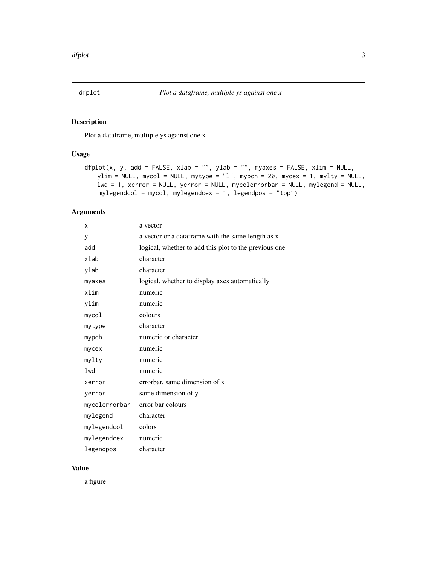<span id="page-2-0"></span>

Plot a dataframe, multiple ys against one x

#### Usage

```
dfplot(x, y, add = FALSE, xlab = ''', ylab = ''', myaxes = FALSE, xlim = NULL,ylim = NULL, mycol = NULL, mytype = "l", mypch = 20, mycex = 1, mylty = NULL,
   lwd = 1, xerror = NULL, yerror = NULL, mycolerrorbar = NULL, mylegend = NULL,
   mylegendcol = mycol, mylegendcex = 1, legendpos = "top")
```
## Arguments

| x             | a vector                                              |
|---------------|-------------------------------------------------------|
| y             | a vector or a dataframe with the same length as x     |
| add           | logical, whether to add this plot to the previous one |
| xlab          | character                                             |
| ylab          | character                                             |
| myaxes        | logical, whether to display axes automatically        |
| xlim          | numeric                                               |
| ylim          | numeric                                               |
| mycol         | colours                                               |
| mytype        | character                                             |
| mypch         | numeric or character                                  |
| mycex         | numeric                                               |
| mylty         | numeric                                               |
| lwd           | numeric                                               |
| xerror        | errorbar, same dimension of x                         |
| yerror        | same dimension of y                                   |
| mycolerrorbar | error bar colours                                     |
| mylegend      | character                                             |
| mylegendcol   | colors                                                |
| mylegendcex   | numeric                                               |
| legendpos     | character                                             |

## Value

a figure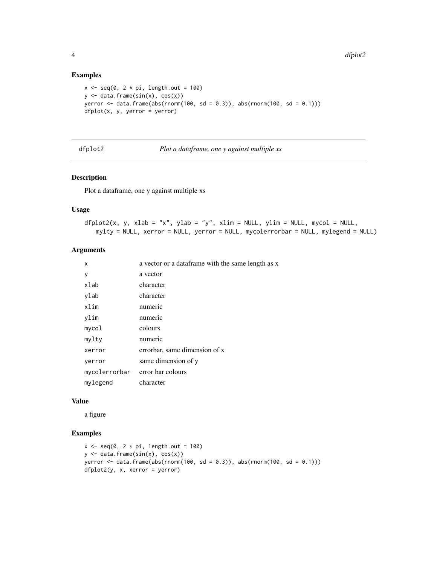#### Examples

```
x \leq -\text{seq}(0, 2 \times \text{pi}, \text{length.out} = 100)y \leftarrow data-frame(sin(x), cos(x))yerror \le data.frame(abs(rnorm(100, sd = 0.3)), abs(rnorm(100, sd = 0.1)))
dfplot(x, y, yerror = yerror)
```
dfplot2 *Plot a dataframe, one y against multiple xs*

#### Description

Plot a dataframe, one y against multiple xs

#### Usage

```
dfplot2(x, y, xlab = "x", ylab = "y", xlim = NULL, ylim = NULL, mycol = NULL,
   mylty = NULL, xerror = NULL, yerror = NULL, mycolerrorbar = NULL, mylegend = NULL)
```
#### Arguments

| x                               | a vector or a dataframe with the same length as x |
|---------------------------------|---------------------------------------------------|
| у                               | a vector                                          |
| xlab                            | character                                         |
| ylab                            | character                                         |
| xlim                            | numeric                                           |
| vlim                            | numeric                                           |
| mycol                           | colours                                           |
| mylty                           | numeric                                           |
| xerror                          | errorbar, same dimension of x                     |
| yerror                          | same dimension of y                               |
| mycolerrorbar error bar colours |                                                   |
| mylegend                        | character                                         |

#### Value

a figure

```
x \leq -\text{seq}(0, 2 \times \text{pi}, \text{length.out} = 100)y \leftarrow data . frame(sin(x), cos(x))yerror <- data.frame(abs(rnorm(100, sd = 0.3)), abs(rnorm(100, sd = 0.1)))
dfplot2(y, x, xerror = yerror)
```
<span id="page-3-0"></span>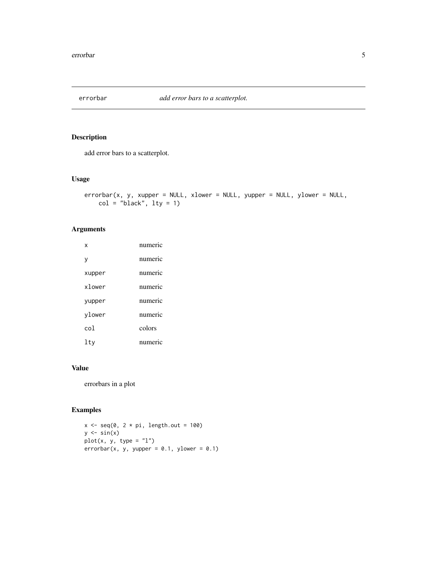<span id="page-4-0"></span>

add error bars to a scatterplot.

#### Usage

```
errorbar(x, y, xupper = NULL, xlower = NULL, yupper = NULL, ylower = NULL,
   col = "black", \text{ly} = 1)
```
#### Arguments

| x      | numeric                |
|--------|------------------------|
| ٧      | numeric                |
| xupper | numeric                |
| xlower | numeric                |
| yupper | numeric                |
| ylower | numeric                |
| col    | colors                 |
| ltv    | numer<br>$\mathcal{C}$ |

#### Value

errorbars in a plot

```
x \leq -\text{seq}(0, 2 \times \text{pi}, \text{length.out} = 100)y \leftarrow \sin(x)plot(x, y, type = "l")errorbar(x, y, yupper = 0.1, ylower = 0.1)
```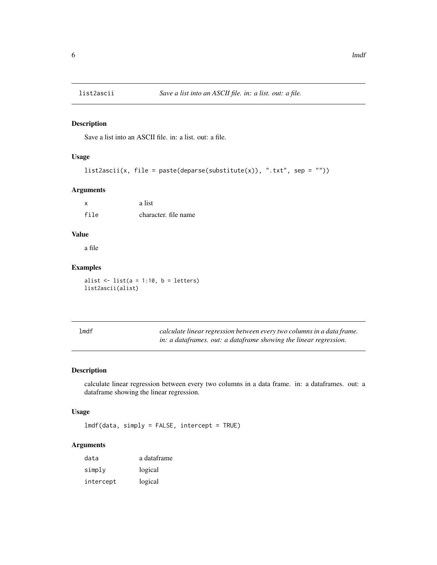<span id="page-5-0"></span>

Save a list into an ASCII file. in: a list. out: a file.

## Usage

```
list2ascii(x, file = paste(deparse(substitute(x)), ".txt", sep = ""))
```
#### Arguments

|      | a list               |
|------|----------------------|
| file | character, file name |

#### Value

a file

#### Examples

alist  $\leftarrow$  list(a = 1:10, b = letters) list2ascii(alist)

| lmdf | calculate linear regression between every two columns in a data frame. |
|------|------------------------------------------------------------------------|
|      | in: a dataframes. out: a dataframe showing the linear regression.      |

#### Description

calculate linear regression between every two columns in a data frame. in: a dataframes. out: a dataframe showing the linear regression.

## Usage

lmdf(data, simply = FALSE, intercept = TRUE)

| data      | a dataframe |
|-----------|-------------|
| simply    | logical     |
| intercept | logical     |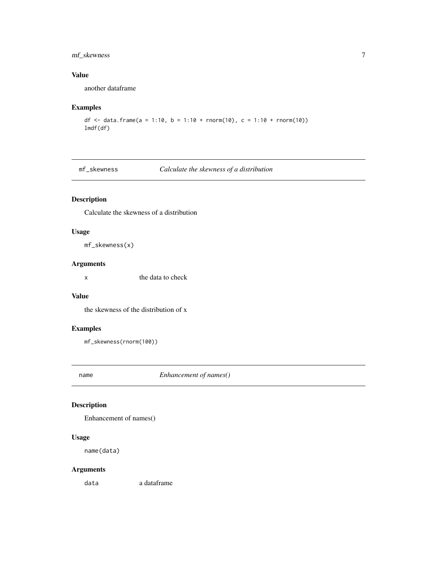## <span id="page-6-0"></span>mf\_skewness 7

#### Value

another dataframe

#### Examples

```
df <- data.frame(a = 1:10, b = 1:10 + rnorm(10), c = 1:10 + rnorm(10))
lmdf(df)
```
#### mf\_skewness *Calculate the skewness of a distribution*

#### Description

Calculate the skewness of a distribution

#### Usage

mf\_skewness(x)

#### Arguments

x the data to check

#### Value

the skewness of the distribution of x

#### Examples

mf\_skewness(rnorm(100))

name *Enhancement of names()*

#### Description

Enhancement of names()

#### Usage

name(data)

#### Arguments

data a dataframe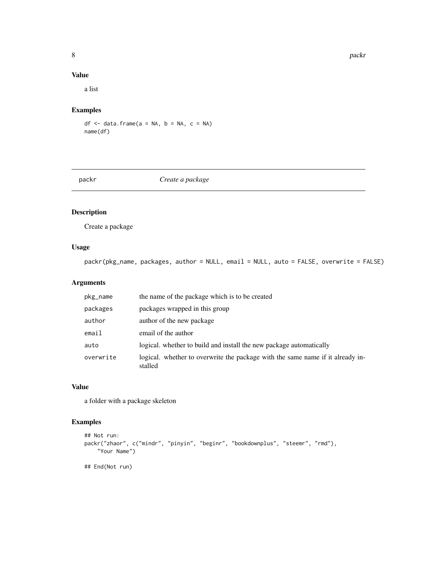#### Value

a list

## Examples

 $df \leq -$  data.frame(a = NA, b = NA, c = NA) name(df)

packr *Create a package*

## Description

Create a package

## Usage

packr(pkg\_name, packages, author = NULL, email = NULL, auto = FALSE, overwrite = FALSE)

## Arguments

| pkg_name  | the name of the package which is to be created                                            |
|-----------|-------------------------------------------------------------------------------------------|
| packages  | packages wrapped in this group                                                            |
| author    | author of the new package                                                                 |
| email     | email of the author                                                                       |
| auto      | logical, whether to build and install the new package automatically                       |
| overwrite | logical. whether to overwrite the package with the same name if it already in-<br>stalled |

#### Value

a folder with a package skeleton

```
## Not run:
packr("zhaor", c("mindr", "pinyin", "beginr", "bookdownplus", "steemr", "rmd"),
    "Your Name")
## End(Not run)
```
<span id="page-7-0"></span>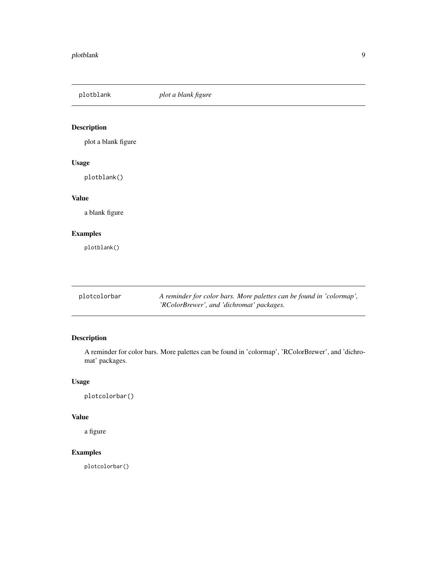## <span id="page-8-0"></span>plotblank *plot a blank figure*

## Description

plot a blank figure

#### Usage

plotblank()

## Value

a blank figure

## Examples

plotblank()

| plotcolorbar | A reminder for color bars. More palettes can be found in 'colormap', |  |
|--------------|----------------------------------------------------------------------|--|
|              | 'RColorBrewer', and 'dichromat' packages.                            |  |

## Description

A reminder for color bars. More palettes can be found in 'colormap', 'RColorBrewer', and 'dichromat' packages.

## Usage

plotcolorbar()

## Value

a figure

## Examples

plotcolorbar()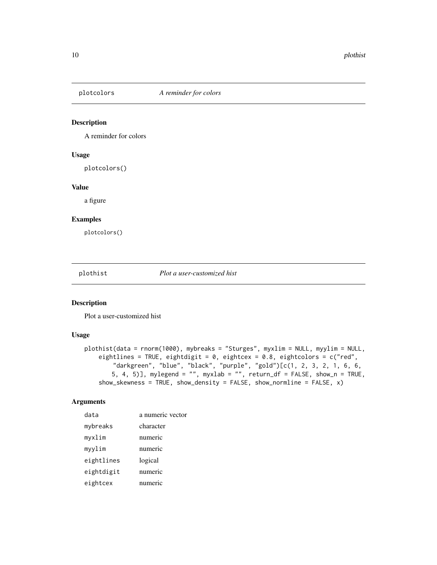<span id="page-9-0"></span>

A reminder for colors

#### Usage

plotcolors()

#### Value

a figure

#### Examples

plotcolors()

plothist *Plot a user-customized hist*

#### Description

Plot a user-customized hist

#### Usage

```
plothist(data = rnorm(1000), mybreaks = "Sturges", myxlim = NULL, myylim = NULL,
   eightlines = TRUE, eightdigit = 0, eightcex = 0.8, eightcolors = c("red",
       "darkgreen", "blue", "black", "purple", "gold")[c(1, 2, 3, 2, 1, 6, 6,
       5, 4, 5)], mylegend = "", myxlab = "", return_df = FALSE, show_n = TRUE,
   show_skewness = TRUE, show_density = FALSE, show_normline = FALSE, x)
```

| data       | a numeric vector |
|------------|------------------|
| mybreaks   | character        |
| myxlim     | numeric          |
| myylim     | numeric          |
| eightlines | logical          |
| eightdigit | numeric          |
| eightcex   | numeric          |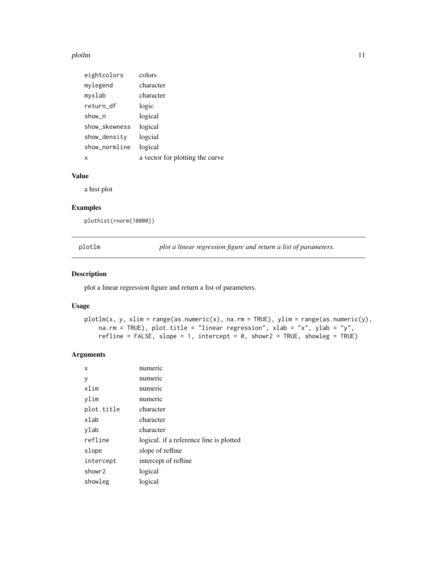#### <span id="page-10-0"></span>plotlm that the contract of the contract of the contract of the contract of the contract of the contract of the contract of the contract of the contract of the contract of the contract of the contract of the contract of th

| eightcolors   | colors                          |
|---------------|---------------------------------|
| mylegend      | character                       |
| myxlab        | character                       |
| return_df     | logic                           |
| show n        | logical                         |
| show_skewness | logical                         |
| show_density  | logcial                         |
| show_normline | logical                         |
| x             | a vector for plotting the curve |

#### Value

a hist plot

## Examples

plothist(rnorm(10000))

plotlm *plot a linear regression figure and return a list of parameters.*

#### Description

plot a linear regression figure and return a list of parameters.

## Usage

```
plotlm(x, y, xlim = range(as.numeric(x), na.rm = TRUE), ylim = range(as.numeric(y),
    na.rm = TRUE), plot.title = "linear regression", xlab = "x", ylab = "y",
   refline = FALSE, slope = 1, intercept = 0, showr2 = TRUE, showleg = TRUE)
```

| х          | numeric                                 |
|------------|-----------------------------------------|
| у          | numeric                                 |
| xlim       | numeric                                 |
| vlim       | numeric                                 |
| plot.title | character                               |
| xlab       | character                               |
| ylab       | character                               |
| refline    | logical. if a reference line is plotted |
| slope      | slope of refline                        |
| intercept  | intercept of refline                    |
| showr2     | logical                                 |
| showleg    | logical                                 |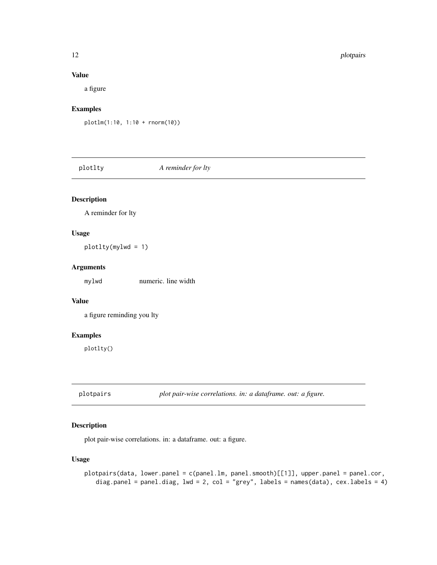#### Value

a figure

#### Examples

plotlm(1:10, 1:10 + rnorm(10))

plotlty *A reminder for lty*

#### Description

A reminder for lty

## Usage

plotlty(mylwd = 1)

#### Arguments

mylwd numeric. line width

#### Value

a figure reminding you lty

#### Examples

plotlty()

plotpairs *plot pair-wise correlations. in: a dataframe. out: a figure.*

## Description

plot pair-wise correlations. in: a dataframe. out: a figure.

#### Usage

```
plotpairs(data, lower.panel = c(panel.lm, panel.smooth)[[1]], upper.panel = panel.cor,
   diag.panel = panel.diag, lwd = 2, col = "grey", labels = names(data), cex.labels = 4)
```
<span id="page-11-0"></span>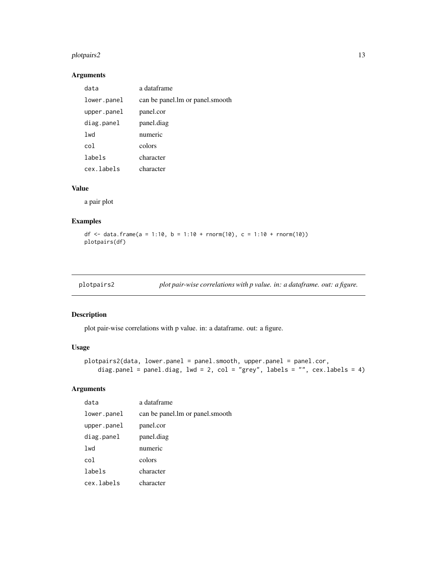#### <span id="page-12-0"></span>plotpairs2 13

## Arguments

| data        | a dataframe                       |
|-------------|-----------------------------------|
| lower.panel | can be panel. Im or panel. smooth |
| upper.panel | panel.cor                         |
| diag.panel  | panel.diag                        |
| lwd         | numeric                           |
| col         | colors                            |
| labels      | character                         |
| cex.labels  | character                         |

## Value

a pair plot

#### Examples

df <- data.frame(a = 1:10, b = 1:10 + rnorm(10), c = 1:10 + rnorm(10)) plotpairs(df)

|  | plotpairs2 |  | plot pair-wise correlations with p value. in: a dataframe. out: a figure. |  |  |
|--|------------|--|---------------------------------------------------------------------------|--|--|
|--|------------|--|---------------------------------------------------------------------------|--|--|

#### Description

plot pair-wise correlations with p value. in: a dataframe. out: a figure.

#### Usage

```
plotpairs2(data, lower.panel = panel.smooth, upper.panel = panel.cor,
   diag.panel = panel.diag, lwd = 2, col = "grey", labels = "", cex.labels = 4)
```

| data        | a dataframe                       |
|-------------|-----------------------------------|
| lower.panel | can be panel. Im or panel. smooth |
| upper.panel | panel.cor                         |
| diag.panel  | panel.diag                        |
| lwd         | numeric                           |
| col         | colors                            |
| labels      | character                         |
| cex.labels  | character                         |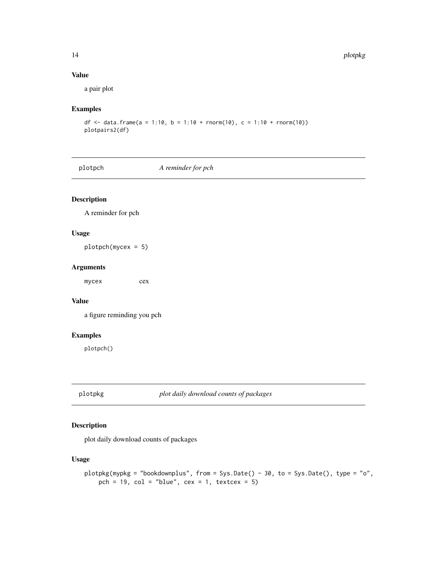#### Value

a pair plot

#### Examples

```
df <- data.frame(a = 1:10, b = 1:10 + rnorm(10), c = 1:10 + rnorm(10))
plotpairs2(df)
```
plotpch *A reminder for pch*

#### Description

A reminder for pch

#### Usage

plotpch(mycex = 5)

#### Arguments

mycex cex

#### Value

a figure reminding you pch

#### Examples

plotpch()

plotpkg *plot daily download counts of packages*

#### Description

plot daily download counts of packages

#### Usage

```
plotpkg(mypkg = "bookdownplus", from = Sys.Date() - 30, to = Sys.Date(), type = "o",
   pch = 19, col = "blue", cex = 1, text{ex} = 5)
```
<span id="page-13-0"></span>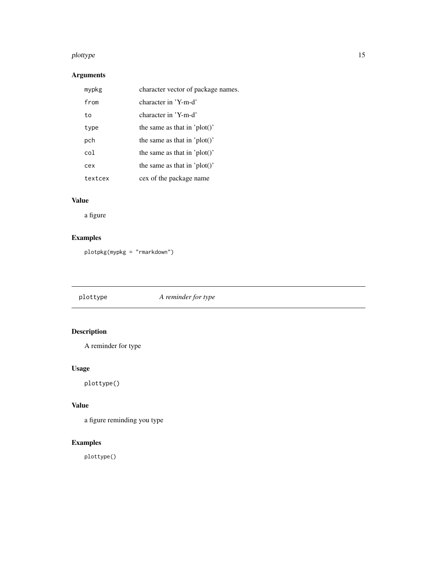#### <span id="page-14-0"></span>plottype that the state of the state of the state of the state of the state of the state of the state of the state of the state of the state of the state of the state of the state of the state of the state of the state of

## Arguments

| mypkg   | character vector of package names. |
|---------|------------------------------------|
| from    | character in 'Y-m-d'               |
| to      | character in 'Y-m-d'               |
| type    | the same as that in 'plot()'       |
| pch     | the same as that in 'plot()'       |
| col     | the same as that in 'plot()'       |
| cex     | the same as that in 'plot()'       |
| textcex | cex of the package name            |

## Value

a figure

## Examples

plotpkg(mypkg = "rmarkdown")

plottype *A reminder for type*

## Description

A reminder for type

## Usage

plottype()

## Value

a figure reminding you type

## Examples

plottype()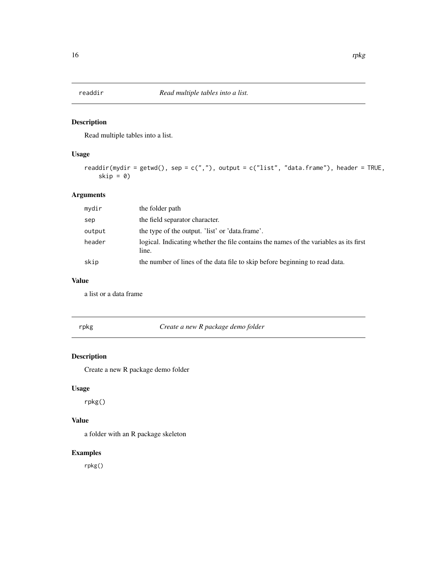<span id="page-15-0"></span>

Read multiple tables into a list.

#### Usage

```
readdir(mydir = getwd(), sep = c(","'), output = c("list", "data-frame"), header = TRUE,
    skip = 0)
```
#### Arguments

| mydir  | the folder path                                                                                |
|--------|------------------------------------------------------------------------------------------------|
| sep    | the field separator character.                                                                 |
| output | the type of the output. 'list' or 'data.frame'.                                                |
| header | logical. Indicating whether the file contains the names of the variables as its first<br>line. |
| skip   | the number of lines of the data file to skip before beginning to read data.                    |

#### Value

a list or a data frame

rpkg *Create a new R package demo folder*

#### Description

Create a new R package demo folder

#### Usage

rpkg()

## Value

a folder with an R package skeleton

## Examples

rpkg()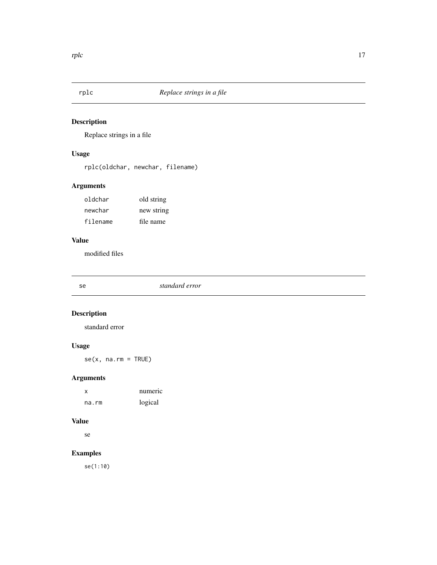<span id="page-16-0"></span>

Replace strings in a file

## Usage

rplc(oldchar, newchar, filename)

## Arguments

| oldchar  | old string |
|----------|------------|
| newchar  | new string |
| filename | file name  |

## Value

modified files

#### Description

standard error

## Usage

 $se(x, na.rm = TRUE)$ 

## Arguments

| x     | numeric |
|-------|---------|
| na.rm | logical |

## Value

se

## Examples

se(1:10)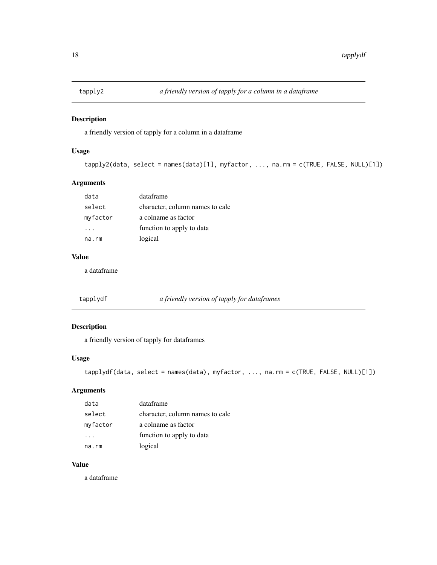<span id="page-17-0"></span>

a friendly version of tapply for a column in a dataframe

#### Usage

```
tapply2(data, select = names(data)[1], myfactor, ..., na.rm = c(TRUE, FALSE, NULL)[1])
```
#### Arguments

| data     | dataframe                       |
|----------|---------------------------------|
| select   | character, column names to calc |
| myfactor | a colname as factor             |
|          | function to apply to data       |
| na.rm    | logical                         |

## Value

a dataframe

| tapplydf | a friendly version of tapply for dataframes |  |  |
|----------|---------------------------------------------|--|--|
|          |                                             |  |  |

## Description

a friendly version of tapply for dataframes

#### Usage

```
tapplydf(data, select = names(data), myfactor, ..., na.rm = c(TRUE, FALSE, NULL)[1])
```
#### Arguments

| data     | dataframe                       |
|----------|---------------------------------|
| select   | character, column names to calc |
| myfactor | a colname as factor             |
|          | function to apply to data       |
| na.rm    | logical                         |

## Value

a dataframe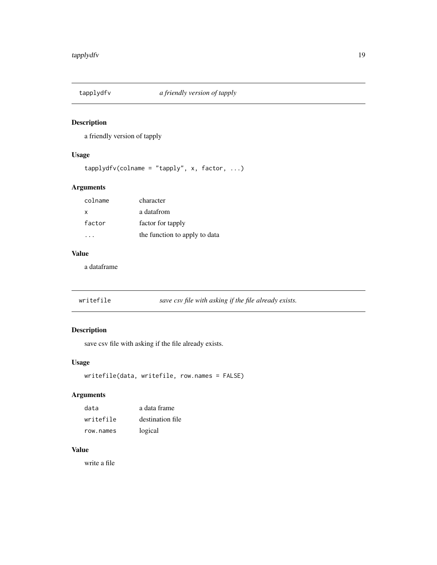<span id="page-18-0"></span>

a friendly version of tapply

#### Usage

```
tapplydfv(colname = "tapply", x, factor, ...)
```
#### Arguments

| colname  | character                     |
|----------|-------------------------------|
| $\times$ | a datafrom                    |
| factor   | factor for tapply             |
|          | the function to apply to data |

#### Value

a dataframe

| writefile | save csv file with asking if the file already exists. |
|-----------|-------------------------------------------------------|
|           |                                                       |

## Description

save csv file with asking if the file already exists.

#### Usage

```
writefile(data, writefile, row.names = FALSE)
```
## Arguments

| data      | a data frame     |
|-----------|------------------|
| writefile | destination file |
| row.names | logical          |

#### Value

write a file